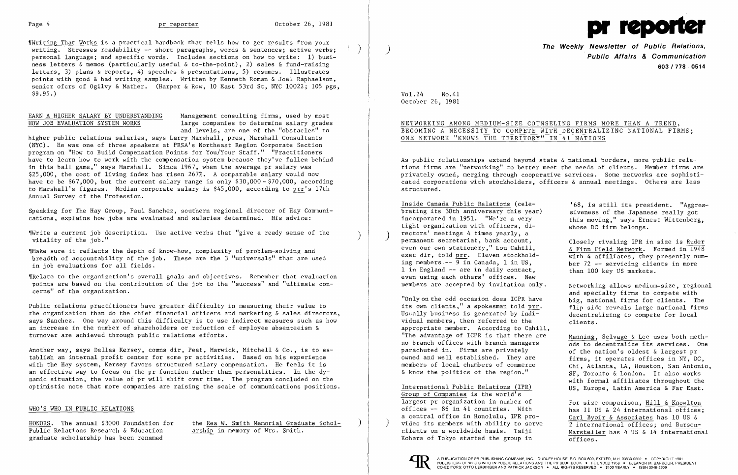"Writing That Works is a practical handbook that tells how to get results from your writing. Stresses readability -- short paragraphs, words & sentences; active verbs; personal language; and specific words. Includes sections on how to write: 1) business letters & memos (particularly useful & to-the-point), 2) sales & fund-raising letters, 3) plans & reports, 4) speeches & presentations, 5) resumes. Illustrates points with good & bad writing samples. Written by Kenneth Roman & Joel Raphaelson, senior ofcrs of Ogilvy & Mather. (Harper & Row, 10 East 53rd St, NYC 10022; 105 pgs,  $$9.95.$ )

EARN A HIGHER SALARY BY UNDERSTANDING Management consulting firms, used by most<br>HOW JOB EVALUATION SYSTEM WORKS large companies to determine salary grades large companies to determine salary grades and levels, are one of the "obstacles" to

higher public relations salaries, says Larry Marshall, pres, Marshall Consultants (NYC). He was one of three speakers at PRSA's Northeast Region Corporate Section program on "How to Build Compensation Points for You/Your Staff." "Practitioners have to learn how to work with the compensation system because they've fallen behind in this ball game," says Marshall. Since 1967, when the average pr salary was \$25,000, the cost of living index has risen 267%. A comparable salary would now have to be \$67,000, but the current salary range is only \$30,000 - \$70,000, according to Marshall's figures. Median corporate salary is \$45,000, according to prr's 17th Annual Survey of the Profession.

Speaking for The Hay Group, Paul Sanchez, southern regional director of Hay Comnunications, explains how jobs are evaluated and salaries determined. His advice:

Public Relations Research & Education graduate scholarship has been renamed

HONORS. The annual \$3000 Foundation for the Rea W. Smith Memorial Graduate Scholarship in memory of Mrs. Smith.

'IWrite a current job description. Use active verbs that "give a ready sense of the ) vitality of the job."

'IMake sure it reflects the depth of know-how, complexity of problem-solving and breadth of accountability of the job. These are the 3 "universals" that are used in job evaluations for all fields.

'IRe1ate to the organization's overall goals and objectives. Remember that evaluation points are based on the contribution of the job to the "success" and "ultimate con cerns" of the organization.

Public relations practitioners have greater difficulty in measuring their value to the organization than do the chief financial officers and marketing & sales directors, says Sanchez. One way around this difficulty is to use indirect measures such as how an increase in the number of shareholders or reduction of employee absenteeism & turnover are achieved through public relations efforts.

and specialty firms to compete with "Only on the odd occasion does ICPR have  $\qquad \qquad$  big, national firms for clients. The decentralizing to compete for local

Chi, Atlanta, LA, Houston, San Antonio, & know the politics of the region." SF, Toronto & London. It also works with formal affiliates throughout the International Public Relations (IPR) US, Europe, Latin America & Far East.

> has  $11$  US & 24 international offices; Marsteller has 4 US & 14 international

Another way, says Dallas Kersey, comns dir, Peat, Marwick, Mitchell & Co., is to es tablish an internal profit center for some pr activities. Based on his experience with the Hay system, Kersey favors structured salary compensation. He feels it is an effective way to focus on the pr function rather than personalities. In the dy namic situation, the value of pr will shift over time. The program concluded on the optimistic note that more companies are raising the scale of communications positions.

Group of Companies is the world's largest pr organization in number of  $\overline{r}$  For size comparison,  $\underline{Hill}$  & Knowlton offices  $-$  86 in 41 countries. With  $\overline{r}$  has 11 US & 24 international offices a central office in Honolulu, IPR pro-<br>Carl Byoir & Associates has 10 US & vides its members with ability to serve  $\overline{2}$  international offices; and Burson-<br>clients on a worldwide basis. Taiji Marsteller bas 4 US & 14 internation Kohara of Tokyo started the group in  $\overline{\text{offices.}}$ 



### WHO'S WHO IN PUBLIC RELATIONS



**The Weekly Newsletter of Public Relations,** ) **Public Affairs & Communication 603/778·0514** 

> siveness of the Japanese really got this moving," says Ernest Wittenberg, whose DC firm belongs.

> Closely rivaling IPR in size is  $\frac{\text{Ruder}}{\text{A Finn Field Network.}}$  Formed in 1948

Vo1.24 No.41 October 26, 1981

# NETWORKING AMONG MEDIUM-SIZE COUNSELING FIRMS MORE THAN A TREND, BECOMING A NECESSITY TO COMPETE WITH DECENTRALIZING NATIONAL FIRMS; ONE NETWORK "KNOWS THE TERRITORY" IN 41 NATIONS

As public relationships extend beyond state & national borders, more public rela tions firms are "networking" to better meet the needs of clients. Member firms are privately owned, merging through cooperative services. Some networks are sophisti cated corporations with stockholders, officers & annual meetings. Others are less structured.

Inside Canada Public Relations (cele- '68, is still its president. "Aggres-Inside Canada Public Relations (cele-<br>brating its 30th anniversary this year)<br>incorporated in 1951. "We're a very tight organization with officers, directors' meetings 4 times yearly, a<br>permanent secretariat, bank account, even our own stationery," Lou Cahill,  $\frac{\& \text{Finn Field Network.}}{\text{with 4 affiliated.}}$  Formed in 1948 exec dir, told prr. Eleven stockhold-<br>ing members  $-$ - 9 in Canada, 1 in US,<br>ber 72 -- servicing clients in more ing members  $-$  9 in Canada, 1 in US, ber 72  $-$  servicing client 1 in England  $-$  are in daily contact, than 100 key US markets. 1 in England  $-$  are in daily contact. even using each others' offices. New members are accepted by invitation only. Metworking allows medium-size, regional

its own clients," a spokesman told  $\overline{p}rr$ .  $\overline{f}$  flip side reveals large national firms<br>Usually business is generated by indi-<br>decentralizing to compete for local vidual members, then referred to the clients. appropriate member. According to Cahill, "The advantage of ICPR is that there are  $\frac{\text{Manning}}{\text{ods to dependent rules}}$  its services  $\frac{\text{One}}{\text{One}}$ no branch offices with branch managers ods to decentralize its services. One parachuted in. Firms are privately parachuted in. Firms are privately of the nation's oldest & largest pr<br>owned and well established. They are offirms, it operates offices in NY, DC owned and well established. They are  $f_{\text{times}}$ , it operates offices in NY, DC, onembers of local chambers of commerce